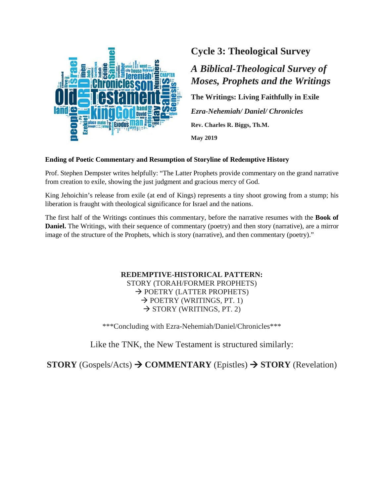

# **Cycle 3: Theological Survey**

# *A Biblical-Theological Survey of Moses, Prophets and the Writings*

**The Writings: Living Faithfully in Exile**

*Ezra-Nehemiah/ Daniel/ Chronicles* **Rev. Charles R. Biggs, Th.M.**

**May 2019**

#### **Ending of Poetic Commentary and Resumption of Storyline of Redemptive History**

Prof. Stephen Dempster writes helpfully: "The Latter Prophets provide commentary on the grand narrative from creation to exile, showing the just judgment and gracious mercy of God.

King Jehoichin's release from exile (at end of Kings) represents a tiny shoot growing from a stump; his liberation is fraught with theological significance for Israel and the nations.

The first half of the Writings continues this commentary, before the narrative resumes with the **Book of Daniel.** The Writings, with their sequence of commentary (poetry) and then story (narrative), are a mirror image of the structure of the Prophets, which is story (narrative), and then commentary (poetry)."

> **REDEMPTIVE-HISTORICAL PATTERN:** STORY (TORAH/FORMER PROPHETS)  $\rightarrow$  POETRY (LATTER PROPHETS)  $\rightarrow$  POETRY (WRITINGS, PT. 1)  $\rightarrow$  STORY (WRITINGS, PT. 2)

\*\*\*Concluding with Ezra-Nehemiah/Daniel/Chronicles\*\*\*

Like the TNK, the New Testament is structured similarly:

**STORY** (Gospels/Acts)  $\rightarrow$  **COMMENTARY** (Epistles)  $\rightarrow$  **STORY** (Revelation)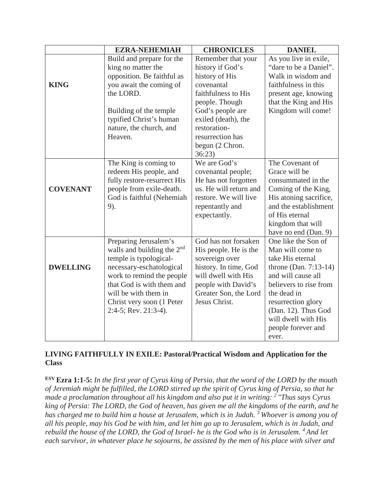|                 | <b>EZRA-NEHEMIAH</b>         | <b>CHRONICLES</b>      | <b>DANIEL</b>            |  |
|-----------------|------------------------------|------------------------|--------------------------|--|
|                 | Build and prepare for the    | Remember that your     | As you live in exile,    |  |
|                 | king no matter the           | history if God's       | "dare to be a Daniel".   |  |
|                 | opposition. Be faithful as   | history of His         | Walk in wisdom and       |  |
| <b>KING</b>     | you await the coming of      | covenantal             | faithfulness in this     |  |
|                 | the LORD.                    | faithfulness to His    | present age, knowing     |  |
|                 |                              | people. Though         | that the King and His    |  |
|                 | Building of the temple       | God's people are       | Kingdom will come!       |  |
|                 | typified Christ's human      | exiled (death), the    |                          |  |
|                 | nature, the church, and      | restoration-           |                          |  |
|                 | Heaven.                      | resurrection has       |                          |  |
|                 |                              | begun (2 Chron.        |                          |  |
|                 |                              | 36:23)                 |                          |  |
|                 | The King is coming to        | We are God's           | The Covenant of          |  |
|                 | redeem His people, and       | covenantal people;     | Grace will be            |  |
|                 | fully restore-resurrect His  | He has not forgotten   | consummated in the       |  |
| <b>COVENANT</b> | people from exile-death.     | us. He will return and | Coming of the King,      |  |
|                 | God is faithful (Nehemiah    | restore. We will live  | His atoning sacrifice,   |  |
|                 | 9).                          | repentantly and        | and the establishment    |  |
|                 |                              | expectantly.           | of His eternal           |  |
|                 |                              |                        | kingdom that will        |  |
|                 |                              |                        | have no end (Dan. 9)     |  |
|                 | Preparing Jerusalem's        | God has not forsaken   | One like the Son of      |  |
|                 | walls and building the $2nd$ | His people. He is the  | Man will come to         |  |
|                 | temple is typological-       | sovereign over         | take His eternal         |  |
| <b>DWELLING</b> | necessary-eschatological     | history. In time, God  | throne (Dan. $7:13-14$ ) |  |
|                 | work to remind the people    | will dwell with His    | and will cause all       |  |
|                 | that God is with them and    | people with David's    | believers to rise from   |  |
|                 | will be with them in         | Greater Son, the Lord  | the dead in              |  |
|                 | Christ very soon (1 Peter    | Jesus Christ.          | resurrection glory       |  |
|                 | 2:4-5; Rev. 21:3-4).         |                        | (Dan. 12). Thus God      |  |
|                 |                              |                        | will dwell with His      |  |
|                 |                              |                        | people forever and       |  |
|                 |                              |                        | ever.                    |  |

# **LIVING FAITHFULLY IN EXILE: Pastoral/Practical Wisdom and Application for the Class**

**ESV Ezra 1:1-5:** *In the first year of Cyrus king of Persia, that the word of the LORD by the mouth of Jeremiah might be fulfilled, the LORD stirred up the spirit of Cyrus king of Persia, so that he made a proclamation throughout all his kingdom and also put it in writing: 2 "Thus says Cyrus king of Persia: The LORD, the God of heaven, has given me all the kingdoms of the earth, and he*  has charged me to build him a house at Jerusalem, which is in Judah. <sup>3</sup> Whoever is among you of *all his people, may his God be with him, and let him go up to Jerusalem, which is in Judah, and rebuild the house of the LORD, the God of Israel- he is the God who is in Jerusalem. 4 And let each survivor, in whatever place he sojourns, be assisted by the men of his place with silver and*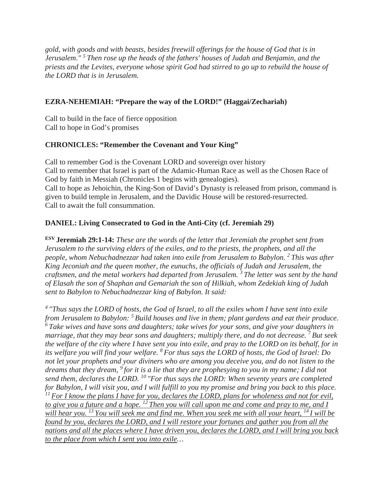*gold, with goods and with beasts, besides freewill offerings for the house of God that is in Jerusalem." 5 Then rose up the heads of the fathers' houses of Judah and Benjamin, and the priests and the Levites, everyone whose spirit God had stirred to go up to rebuild the house of the LORD that is in Jerusalem.*

# **EZRA-NEHEMIAH: "Prepare the way of the LORD!" (Haggai/Zechariah)**

Call to build in the face of fierce opposition Call to hope in God's promises

# **CHRONICLES: "Remember the Covenant and Your King"**

Call to remember God is the Covenant LORD and sovereign over history Call to remember that Israel is part of the Adamic-Human Race as well as the Chosen Race of God by faith in Messiah (Chronicles 1 begins with genealogies). Call to hope as Jehoichin, the King-Son of David's Dynasty is released from prison, command is given to build temple in Jerusalem, and the Davidic House will be restored-resurrected. Call to await the full consummation.

# **DANIEL: Living Consecrated to God in the Anti-City (cf. Jeremiah 29)**

**ESV Jeremiah 29:1-14:** *These are the words of the letter that Jeremiah the prophet sent from Jerusalem to the surviving elders of the exiles, and to the priests, the prophets, and all the people, whom Nebuchadnezzar had taken into exile from Jerusalem to Babylon. 2 This was after King Jeconiah and the queen mother, the eunuchs, the officials of Judah and Jerusalem, the craftsmen, and the metal workers had departed from Jerusalem. 3 The letter was sent by the hand of Elasah the son of Shaphan and Gemariah the son of Hilkiah, whom Zedekiah king of Judah sent to Babylon to Nebuchadnezzar king of Babylon. It said:* 

*4 "Thus says the LORD of hosts, the God of Israel, to all the exiles whom I have sent into exile from Jerusalem to Babylon: 5 Build houses and live in them; plant gardens and eat their produce. 6 Take wives and have sons and daughters; take wives for your sons, and give your daughters in marriage, that they may bear sons and daughters; multiply there, and do not decrease. 7 But seek the welfare of the city where I have sent you into exile, and pray to the LORD on its behalf, for in its welfare you will find your welfare. 8 For thus says the LORD of hosts, the God of Israel: Do not let your prophets and your diviners who are among you deceive you, and do not listen to the dreams that they dream, 9 for it is a lie that they are prophesying to you in my name; I did not send them, declares the LORD. 10 "For thus says the LORD: When seventy years are completed for Babylon, I will visit you, and I will fulfill to you my promise and bring you back to this place. 11 For I know the plans I have for you, declares the LORD, plans for wholeness and not for evil, to give you a future and a hope. 12 Then you will call upon me and come and pray to me, and I will hear you. 13 You will seek me and find me. When you seek me with all your heart, 14 I will be found by you, declares the LORD, and I will restore your fortunes and gather you from all the nations and all the places where I have driven you, declares the LORD, and I will bring you back to the place from which I sent you into exile…*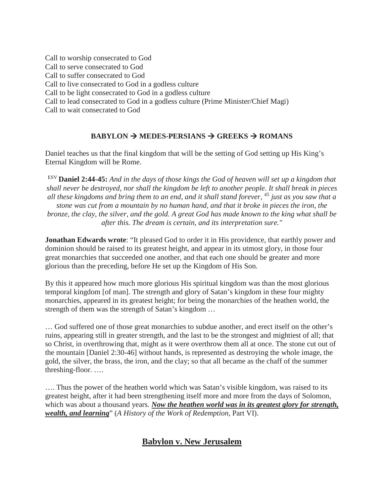Call to worship consecrated to God Call to serve consecrated to God Call to suffer consecrated to God Call to live consecrated to God in a godless culture Call to be light consecrated to God in a godless culture Call to lead consecrated to God in a godless culture (Prime Minister/Chief Magi) Call to wait consecrated to God

# **BABYLON**  $\rightarrow$  **MEDES-PERSIANS**  $\rightarrow$  **GREEKS**  $\rightarrow$  **ROMANS**

Daniel teaches us that the final kingdom that will be the setting of God setting up His King's Eternal Kingdom will be Rome.

ESV **Daniel 2:44-45:** *And in the days of those kings the God of heaven will set up a kingdom that shall never be destroyed, nor shall the kingdom be left to another people. It shall break in pieces all these kingdoms and bring them to an end, and it shall stand forever, 45 just as you saw that a stone was cut from a mountain by no human hand, and that it broke in pieces the iron, the bronze, the clay, the silver, and the gold. A great God has made known to the king what shall be after this. The dream is certain, and its interpretation sure."*

**Jonathan Edwards wrote**: "It pleased God to order it in His providence, that earthly power and dominion should be raised to its greatest height, and appear in its utmost glory, in those four great monarchies that succeeded one another, and that each one should be greater and more glorious than the preceding, before He set up the Kingdom of His Son.

By this it appeared how much more glorious His spiritual kingdom was than the most glorious temporal kingdom [of man]. The strength and glory of Satan's kingdom in these four mighty monarchies, appeared in its greatest height; for being the monarchies of the heathen world, the strength of them was the strength of Satan's kingdom …

… God suffered one of those great monarchies to subdue another, and erect itself on the other's ruins, appearing still in greater strength, and the last to be the strongest and mightiest of all; that so Christ, in overthrowing that, might as it were overthrow them all at once. The stone cut out of the mountain [Daniel 2:30-46] without hands, is represented as destroying the whole image, the gold, the silver, the brass, the iron, and the clay; so that all became as the chaff of the summer threshing-floor. ….

…. Thus the power of the heathen world which was Satan's visible kingdom, was raised to its greatest height, after it had been strengthening itself more and more from the days of Solomon, which was about a thousand years. *Now the heathen world was in its greatest glory for strength, wealth, and learning*" (*A History of the Work of Redemption,* Part VI).

# **Babylon v. New Jerusalem**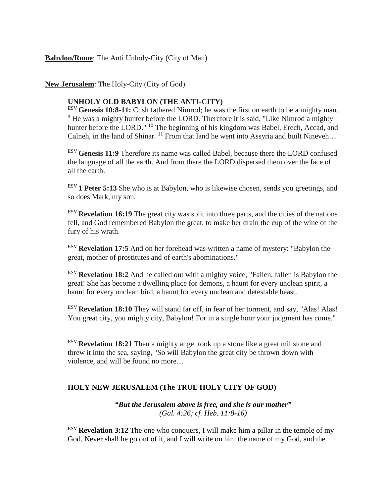#### **Babylon/Rome**: The Anti Unholy-City (City of Man)

#### **New Jerusalem**: The Holy-City (City of God)

#### **UNHOLY OLD BABYLON (THE ANTI-CITY)**

ESV **Genesis 10:8-11:** Cush fathered Nimrod; he was the first on earth to be a mighty man. <sup>9</sup> He was a mighty hunter before the LORD. Therefore it is said, "Like Nimrod a mighty" hunter before the LORD." <sup>10</sup> The beginning of his kingdom was Babel, Erech, Accad, and Calneh, in the land of Shinar. <sup>11</sup> From that land he went into Assyria and built Nineveh...

ESV **Genesis 11:9** Therefore its name was called Babel, because there the LORD confused the language of all the earth. And from there the LORD dispersed them over the face of all the earth.

ESV **1 Peter 5:13** She who is at Babylon, who is likewise chosen, sends you greetings, and so does Mark, my son.

ESV **Revelation 16:19** The great city was split into three parts, and the cities of the nations fell, and God remembered Babylon the great, to make her drain the cup of the wine of the fury of his wrath.

ESV **Revelation 17:5** And on her forehead was written a name of mystery: "Babylon the great, mother of prostitutes and of earth's abominations."

ESV **Revelation 18:2** And he called out with a mighty voice, "Fallen, fallen is Babylon the great! She has become a dwelling place for demons, a haunt for every unclean spirit, a haunt for every unclean bird, a haunt for every unclean and detestable beast.

ESV **Revelation 18:10** They will stand far off, in fear of her torment, and say, "Alas! Alas! You great city, you mighty city, Babylon! For in a single hour your judgment has come."

ESV **Revelation 18:21** Then a mighty angel took up a stone like a great millstone and threw it into the sea, saying, "So will Babylon the great city be thrown down with violence, and will be found no more…

#### **HOLY NEW JERUSALEM (The TRUE HOLY CITY OF GOD)**

*"But the Jerusalem above is free, and she is our mother" (Gal. 4:26; cf. Heb. 11:8-16)*

ESV **Revelation 3:12** The one who conquers, I will make him a pillar in the temple of my God. Never shall he go out of it, and I will write on him the name of my God, and the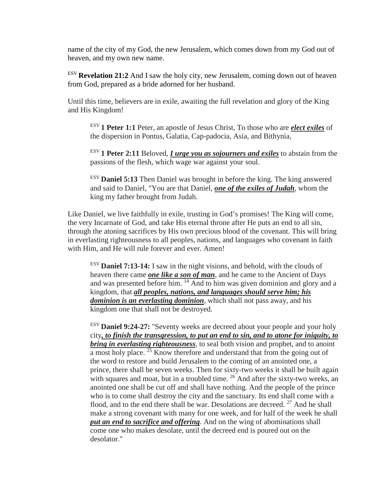name of the city of my God, the new Jerusalem, which comes down from my God out of heaven, and my own new name.

ESV **Revelation 21:2** And I saw the holy city, new Jerusalem, coming down out of heaven from God, prepared as a bride adorned for her husband.

Until this time, believers are in exile, awaiting the full revelation and glory of the King and His Kingdom!

ESV **1 Peter 1:1** Peter, an apostle of Jesus Christ, To those who are *elect exiles* of the dispersion in Pontus, Galatia, Cap-padocia, Asia, and Bithynia,

ESV **1 Peter 2:11** Beloved, *I urge you as sojourners and exiles* to abstain from the passions of the flesh, which wage war against your soul.

ESV **Daniel 5:13** Then Daniel was brought in before the king. The king answered and said to Daniel, "You are that Daniel, *one of the exiles of Judah*, whom the king my father brought from Judah.

Like Daniel, we live faithfully in exile, trusting in God's promises! The King will come, the very Incarnate of God, and take His eternal throne after He puts an end to all sin, through the atoning sacrifices by His own precious blood of the covenant. This will bring in everlasting righteousness to all peoples, nations, and languages who covenant in faith with Him, and He will rule forever and ever. Amen!

ESV **Daniel 7:13-14:** I saw in the night visions, and behold, with the clouds of heaven there came *one like a son of man*, and he came to the Ancient of Days and was presented before him. <sup>14</sup> And to him was given dominion and glory and a kingdom, that *all peoples, nations, and languages should serve him; his dominion is an everlasting dominion*, which shall not pass away, and his kingdom one that shall not be destroyed.

ESV **Daniel 9:24-27:** "Seventy weeks are decreed about your people and your holy city*, to finish the transgression, to put an end to sin, and to atone for iniquity, to bring in everlasting righteousness*, to seal both vision and prophet, and to anoint  $\overline{a}$  most holy place.<sup>25</sup> Know therefore and understand that from the going out of the word to restore and build Jerusalem to the coming of an anointed one, a prince, there shall be seven weeks. Then for sixty-two weeks it shall be built again with squares and moat, but in a troubled time.  $26$  And after the sixty-two weeks, an anointed one shall be cut off and shall have nothing. And the people of the prince who is to come shall destroy the city and the sanctuary. Its end shall come with a flood, and to the end there shall be war. Desolations are decreed.  $27$  And he shall make a strong covenant with many for one week, and for half of the week he shall *put an end to sacrifice and offering*. And on the wing of abominations shall come one who makes desolate, until the decreed end is poured out on the desolator."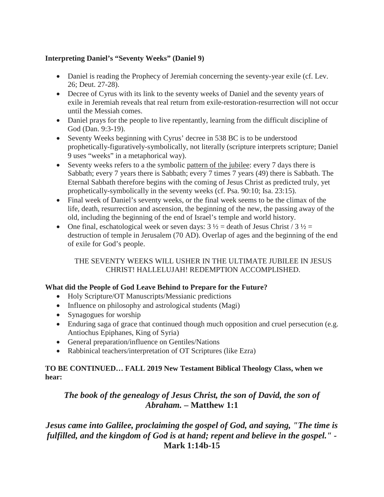# **Interpreting Daniel's "Seventy Weeks" (Daniel 9)**

- Daniel is reading the Prophecy of Jeremiah concerning the seventy-year exile (cf. Lev. 26; Deut. 27-28).
- Decree of Cyrus with its link to the seventy weeks of Daniel and the seventy years of exile in Jeremiah reveals that real return from exile-restoration-resurrection will not occur until the Messiah comes.
- Daniel prays for the people to live repentantly, learning from the difficult discipline of God (Dan. 9:3-19).
- Seventy Weeks beginning with Cyrus' decree in 538 BC is to be understood prophetically-figuratively-symbolically, not literally (scripture interprets scripture; Daniel 9 uses "weeks" in a metaphorical way).
- Seventy weeks refers to a the symbolic pattern of the jubilee: every 7 days there is Sabbath; every 7 years there is Sabbath; every 7 times 7 years (49) there is Sabbath. The Eternal Sabbath therefore begins with the coming of Jesus Christ as predicted truly, yet prophetically-symbolically in the seventy weeks (cf. Psa. 90:10; Isa. 23:15).
- Final week of Daniel's seventy weeks, or the final week seems to be the climax of the life, death, resurrection and ascension, the beginning of the new, the passing away of the old, including the beginning of the end of Israel's temple and world history.
- One final, eschatological week or seven days:  $3\frac{1}{2}$  = death of Jesus Christ /  $3\frac{1}{2}$  = destruction of temple in Jerusalem (70 AD). Overlap of ages and the beginning of the end of exile for God's people.

# THE SEVENTY WEEKS WILL USHER IN THE ULTIMATE JUBILEE IN JESUS CHRIST! HALLELUJAH! REDEMPTION ACCOMPLISHED.

### **What did the People of God Leave Behind to Prepare for the Future?**

- Holy Scripture/OT Manuscripts/Messianic predictions
- Influence on philosophy and astrological students (Magi)
- Synagogues for worship
- Enduring saga of grace that continued though much opposition and cruel persecution (e.g. Antiochus Epiphanes, King of Syria)
- General preparation/influence on Gentiles/Nations
- Rabbinical teachers/interpretation of OT Scriptures (like Ezra)

# **TO BE CONTINUED… FALL 2019 New Testament Biblical Theology Class, when we hear:**

# *The book of the genealogy of Jesus Christ, the son of David, the son of Abraham.* **– Matthew 1:1**

# *Jesus came into Galilee, proclaiming the gospel of God, and saying, "The time is fulfilled, and the kingdom of God is at hand; repent and believe in the gospel." -* **Mark 1:14b-15**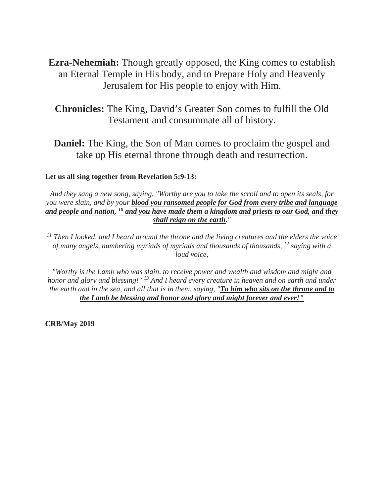**Ezra-Nehemiah:** Though greatly opposed, the King comes to establish an Eternal Temple in His body, and to Prepare Holy and Heavenly Jerusalem for His people to enjoy with Him.

**Chronicles:** The King, David's Greater Son comes to fulfill the Old Testament and consummate all of history.

**Daniel:** The King, the Son of Man comes to proclaim the gospel and take up His eternal throne through death and resurrection.

#### **Let us all sing together from Revelation 5:9-13:**

*And they sang a new song, saying, "Worthy are you to take the scroll and to open its seals, for you were slain, and by your blood you ransomed people for God from every tribe and language and people and nation, 10 and you have made them a kingdom and priests to our God, and they shall reign on the earth."* 

*<sup>11</sup> Then I looked, and I heard around the throne and the living creatures and the elders the voice of many angels, numbering myriads of myriads and thousands of thousands, 12 saying with a loud voice,* 

*"Worthy is the Lamb who was slain, to receive power and wealth and wisdom and might and honor and glory and blessing!" 13 And I heard every creature in heaven and on earth and under the earth and in the sea, and all that is in them, saying, "To him who sits on the throne and to the Lamb be blessing and honor and glory and might forever and ever!"*

**CRB/May 2019**